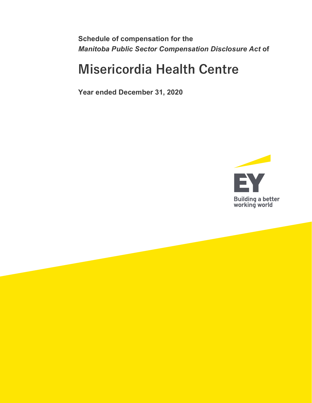**Schedule of compensation for the** *Manitoba Public Sector Compensation Disclosure Act* **of**

# **Misericordia Health Centre**

**Year ended December 31, 2020**

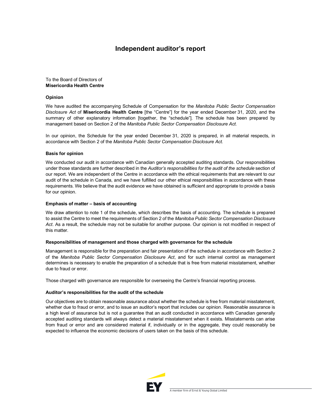## **Independent auditor's report**

To the Board of Directors of **Misericordia Health Centre**

## **Opinion**

We have audited the accompanying Schedule of Compensation for the *Manitoba Public Sector Compensation Disclosure Act* of **Misericordia Health Centre** [the "Centre"] for the year ended December 31, 2020, and the summary of other explanatory information [together, the "schedule"]. The schedule has been prepared by management based on Section 2 of the *Manitoba Public Sector Compensation Disclosure Act*.

In our opinion, the Schedule for the year ended December 31, 2020 is prepared, in all material respects, in accordance with Section 2 of the *Manitoba Public Sector Compensation Disclosure Act.*

#### **Basis for opinion**

We conducted our audit in accordance with Canadian generally accepted auditing standards. Our responsibilities under those standards are further described in the *Auditor's responsibilities for the audit of the schedule* section of our report. We are independent of the Centre in accordance with the ethical requirements that are relevant to our audit of the schedule in Canada, and we have fulfilled our other ethical responsibilities in accordance with these requirements. We believe that the audit evidence we have obtained is sufficient and appropriate to provide a basis for our opinion.

#### **Emphasis of matter – basis of accounting**

We draw attention to note 1 of the schedule, which describes the basis of accounting. The schedule is prepared to assist the Centre to meet the requirements of Section 2 of the *Manitoba Public Sector Compensation Disclosure Act*. As a result, the schedule may not be suitable for another purpose. Our opinion is not modified in respect of this matter.

## **Responsibilities of management and those charged with governance for the schedule**

Management is responsible for the preparation and fair presentation of the schedule in accordance with Section 2 of the *Manitoba Public Sector Compensation Disclosure Act*, and for such internal control as management determines is necessary to enable the preparation of a schedule that is free from material misstatement, whether due to fraud or error.

Those charged with governance are responsible for overseeing the Centre's financial reporting process.

## **Auditor's responsibilities for the audit of the schedule**

Our objectives are to obtain reasonable assurance about whether the schedule is free from material misstatement, whether due to fraud or error, and to issue an auditor's report that includes our opinion. Reasonable assurance is a high level of assurance but is not a guarantee that an audit conducted in accordance with Canadian generally accepted auditing standards will always detect a material misstatement when it exists. Misstatements can arise from fraud or error and are considered material if, individually or in the aggregate, they could reasonably be expected to influence the economic decisions of users taken on the basis of this schedule.

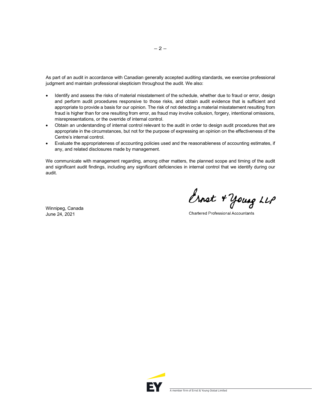As part of an audit in accordance with Canadian generally accepted auditing standards, we exercise professional judgment and maintain professional skepticism throughout the audit. We also:

- Identify and assess the risks of material misstatement of the schedule, whether due to fraud or error, design and perform audit procedures responsive to those risks, and obtain audit evidence that is sufficient and appropriate to provide a basis for our opinion. The risk of not detecting a material misstatement resulting from fraud is higher than for one resulting from error, as fraud may involve collusion, forgery, intentional omissions, misrepresentations, or the override of internal control.
- Obtain an understanding of internal control relevant to the audit in order to design audit procedures that are appropriate in the circumstances, but not for the purpose of expressing an opinion on the effectiveness of the Centre's internal control.
- Evaluate the appropriateness of accounting policies used and the reasonableness of accounting estimates, if any, and related disclosures made by management.

We communicate with management regarding, among other matters, the planned scope and timing of the audit and significant audit findings, including any significant deficiencies in internal control that we identify during our audit.

Winnipeg, Canada June 24, 2021

Ernet + Young LLP

**Chartered Professional Accountants** 

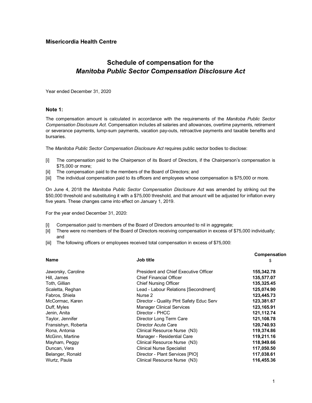## **Misericordia Health Centre**

# **Schedule of compensation for the**  *Manitoba Public Sector Compensation Disclosure Act*

Year ended December 31, 2020

## **Note 1:**

The compensation amount is calculated in accordance with the requirements of the *Manitoba Public Sector Compensation Disclosure Act*. Compensation includes all salaries and allowances, overtime payments, retirement or severance payments, lump-sum payments, vacation pay-outs, retroactive payments and taxable benefits and bursaries.

The *Manitoba Public Sector Compensation Disclosure Act* requires public sector bodies to disclose:

- [i] The compensation paid to the Chairperson of its Board of Directors, if the Chairperson's compensation is \$75,000 or more;
- [ii] The compensation paid to the members of the Board of Directors; and
- [iii] The individual compensation paid to its officers and employees whose compensation is \$75,000 or more.

On June 4, 2018 the *Manitoba Public Sector Compensation Disclosure Act* was amended by striking out the \$50,000 threshold and substituting it with a \$75,000 threshold, and that amount will be adjusted for inflation every five years. These changes came into effect on January 1, 2019.

For the year ended December 31, 2020:

- [i] Compensation paid to members of the Board of Directors amounted to nil in aggregate;
- [ii] There were no members of the Board of Directors receiving compensation in excess of \$75,000 individually; and
- [iii] The following officers or employees received total compensation in excess of \$75,000:

| <b>Name</b>         | Job title                                | Compensation<br>\$ |
|---------------------|------------------------------------------|--------------------|
| Jaworsky, Caroline  | President and Chief Executive Officer    | 155,342.78         |
| Hill, James         | <b>Chief Financial Officer</b>           | 135,577.07         |
| Toth, Gillian       | <b>Chief Nursing Officer</b>             | 135,325.45         |
| Scaletta, Reghan    | Lead - Labour Relations [Secondment]     | 125,074.90         |
| Fabros, Shiela      | Nurse 2                                  | 123,445.73         |
| McCormac, Karen     | Director - Quality Ptnt Safety Educ Serv | 123,381.67         |
| Duff, Myles         | <b>Manager Clinical Services</b>         | 123,165.91         |
| Jenin, Anita        | Director - PHCC                          | 121,112.74         |
| Taylor, Jennifer    | Director Long Term Care                  | 121,108.78         |
| Fransishyn, Roberta | Director Acute Care                      | 120,740.93         |
| Rona, Antonia       | Clinical Resource Nurse (N3)             | 119,374.86         |
| McGinn, Martine     | Manager - Residential Care               | 119,211.16         |
| Mayham, Peggy       | Clinical Resource Nurse (N3)             | 118,949.66         |
| Duncan, Vera        | <b>Clinical Nurse Specialist</b>         | 117,050.50         |
| Belanger, Ronald    | Director - Plant Services [PIO]          | 117,038.61         |
| Wurtz, Paula        | Clinical Resource Nurse (N3)             | 116,455.36         |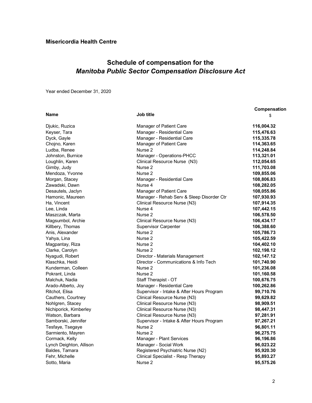# **Schedule of compensation for the**  *Manitoba Public Sector Compensation Disclosure Act*

Year ended December 31, 2020

| <b>Name</b>             | Job title                                 | \$         |
|-------------------------|-------------------------------------------|------------|
| Djukic, Ruzica          | Manager of Patient Care                   | 116,004.32 |
| Keyser, Tara            | Manager - Residential Care                | 115,476.63 |
| Dyck, Gayle             | Manager - Residential Care                | 115,335.78 |
| Chojno, Karen           | Manager of Patient Care                   | 114,363.65 |
| Ludba, Renee            | Nurse 2                                   | 114,248.84 |
| Johnston, Burnice       | Manager - Operations-PHCC                 | 113,321.01 |
| Loughlin, Karen         | Clinical Resource Nurse (N3)              | 112,054.65 |
| Gimby, Judy             | Nurse 2                                   | 111,703.08 |
| Mendoza, Yvonne         | Nurse 2                                   | 109,855.06 |
| Morgan, Stacey          | Manager - Residential Care                | 108,806.83 |
| Zawadski, Dawn          | Nurse 4                                   | 108,282.05 |
| Desautels, Jaclyn       | Manager of Patient Care                   | 108,055.86 |
| Hamonic, Maureen        | Manager - Rehab Serv & Sleep Disorder Ctr | 107,930.93 |
| Ha, Vincent             | Clinical Resource Nurse (N3)              | 107,914.35 |
| Lee, Linda              | Nurse 4                                   | 107,442.15 |
| Maszczak, Marta         | Nurse 2                                   | 106,578.50 |
| Magsumbol, Archie       | Clinical Resource Nurse (N3)              | 106,434.17 |
| Killbery, Thomas        | <b>Supervisor Carpenter</b>               | 106,388.60 |
| Anis, Alexander         | Nurse <sub>2</sub>                        | 105,786.73 |
| Yahya, Lina             | Nurse 2                                   | 105,422.59 |
| Magpantay, Riza         | Nurse 2                                   | 104,402.10 |
| Clarke, Carolyn         | Nurse 2                                   | 102,198.12 |
| Nyagudi, Robert         | Director - Materials Management           | 102,147.12 |
| Klaschka, Heidi         | Director - Communications & Info Tech     | 101,740.90 |
| Kunderman, Colleen      | Nurse 2                                   | 101,236.08 |
| Pokrant, Linda          | Nurse 2                                   | 101,160.58 |
| Malchuk, Nadia          | Staff Therapist - OT                      | 100,676.75 |
| Arado-Alberto, Joy      | Manager - Residential Care                | 100,262.86 |
| Ritchot, Elisa          | Supervisor - Intake & After Hours Program | 99,710.76  |
| Cauthers, Courtney      | Clinical Resource Nurse (N3)              | 99,629.82  |
| Nohlgren, Stacey        | Clinical Resource Nurse (N3)              | 98,909.51  |
| Nichiporick, Kimberley  | Clinical Resource Nurse (N3)              | 98,447.31  |
| Watson, Barbara         | Clinical Resource Nurse (N3)              | 97,281.91  |
| Samborski, Jennifer     | Supervisor - Intake & After Hours Program | 97,267.21  |
| Tesfaye, Tsegaye        | Nurse 2                                   | 96,801.11  |
| Sarmiento, Mayren       | Nurse <sub>2</sub>                        | 96,275.75  |
| Cormack, Kelly          | Manager - Plant Services                  | 96,196.86  |
| Lynch Deighton, Allison | Manager - Social Work                     | 96,023.22  |
| Baldes, Tamara          | Registered Psychiatric Nurse (N2)         | 95,920.30  |
| Fehr, Michelle          | Clinical Specialist - Resp Therapy        | 95,893.27  |
| Sotto, Maria            | Nurse 2                                   | 95,575.26  |

**Compensation**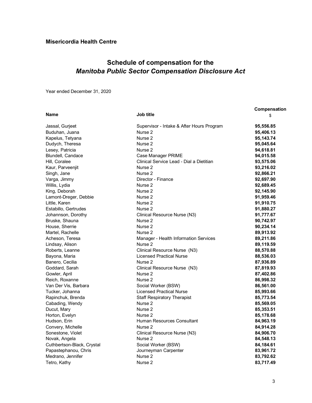# **Schedule of compensation for the**  *Manitoba Public Sector Compensation Disclosure Act*

Year ended December 31, 2020

|                            |                                           | Compensation |
|----------------------------|-------------------------------------------|--------------|
| <b>Name</b>                | Job title                                 | \$           |
| Jassal, Gurjeet            | Supervisor - Intake & After Hours Program | 95,556.85    |
| Buduhan, Juana             | Nurse 2                                   | 95,406.13    |
| Kapelus, Tetyana           | Nurse <sub>2</sub>                        | 95,143.74    |
| Dudych, Theresa            | Nurse <sub>2</sub>                        | 95,045.64    |
| Lesey, Patricia            | Nurse <sub>2</sub>                        | 94,618.81    |
| Blundell, Candace          | Case Manager PRIME                        | 94,015.58    |
| Hill, Coralee              | Clinical Service Lead - Dial a Dietitian  | 93,575.06    |
| Kaur, Parveenjit           | Nurse 2                                   | 93,216.02    |
| Singh, Jane                | Nurse 2                                   | 92,866.21    |
| Varga, Jimmy               | Director - Finance                        | 92,697.90    |
| Willis, Lydia              | Nurse 2                                   | 92,689.45    |
| King, Deborah              | Nurse 2                                   | 92,145.90    |
| Lamont-Dreger, Debbie      | Nurse 2                                   | 91,959.46    |
| Little, Karen              | Nurse 2                                   | 91,910.75    |
| Estabillo, Gertrudes       | Nurse 2                                   | 91,880.27    |
| Johannson, Dorothy         | Clinical Resource Nurse (N3)              | 91,777.67    |
| Bruske, Shauna             | Nurse 2                                   | 90,742.97    |
| House, Sherrie             | Nurse 2                                   | 90,234.14    |
| Martel, Rachelle           | Nurse <sub>2</sub>                        | 89,913.92    |
| Acheson, Teresa            | Manager - Health Information Services     | 89,211.86    |
| Lindsay, Alison            | Nurse 2                                   | 89,119.59    |
| Roberts, Leanne            | Clinical Resource Nurse (N3)              | 88,570.88    |
| Bayona, Maria              | <b>Licensed Practical Nurse</b>           | 88,536.03    |
| Banero, Cecilia            | Nurse <sub>2</sub>                        | 87,936.89    |
| Goddard, Sarah             | Clinical Resource Nurse (N3)              | 87,819.93    |
| Gowler, April              | Nurse 2                                   | 87,402.86    |
| Reich, Roxanne             | Nurse <sub>2</sub>                        | 86,998.32    |
| Van Der Vis, Barbara       | Social Worker (BSW)                       | 86,561.00    |
| Tucker, Johanna            | <b>Licensed Practical Nurse</b>           | 85,993.66    |
| Rapinchuk, Brenda          | <b>Staff Respiratory Therapist</b>        | 85,773.54    |
| Cabading, Wendy            | Nurse 2                                   | 85,569.05    |
| Ducut, Mary                | Nurse 2                                   | 85,353.51    |
| Horton, Evelyn             | Nurse 2                                   | 85,178.68    |
| Hudson, Erin               | Human Resources Consultant                | 84,963.19    |
| Convery, Michelle          | Nurse 2                                   | 84,914.28    |
| Sonestone, Violet          | Clinical Resource Nurse (N3)              | 84,906.70    |
| Novak, Angela              | Nurse 2                                   | 84,548.13    |
| Cuthbertson-Black, Crystal | Social Worker (BSW)                       | 84,184.61    |
| Papastephanou, Chris       | Journeyman Carpenter                      | 83,961.72    |
| Medrano, Jennifer          | Nurse <sub>2</sub>                        | 83,792.62    |
| Tetro, Kathy               | Nurse 2                                   | 83,717.49    |